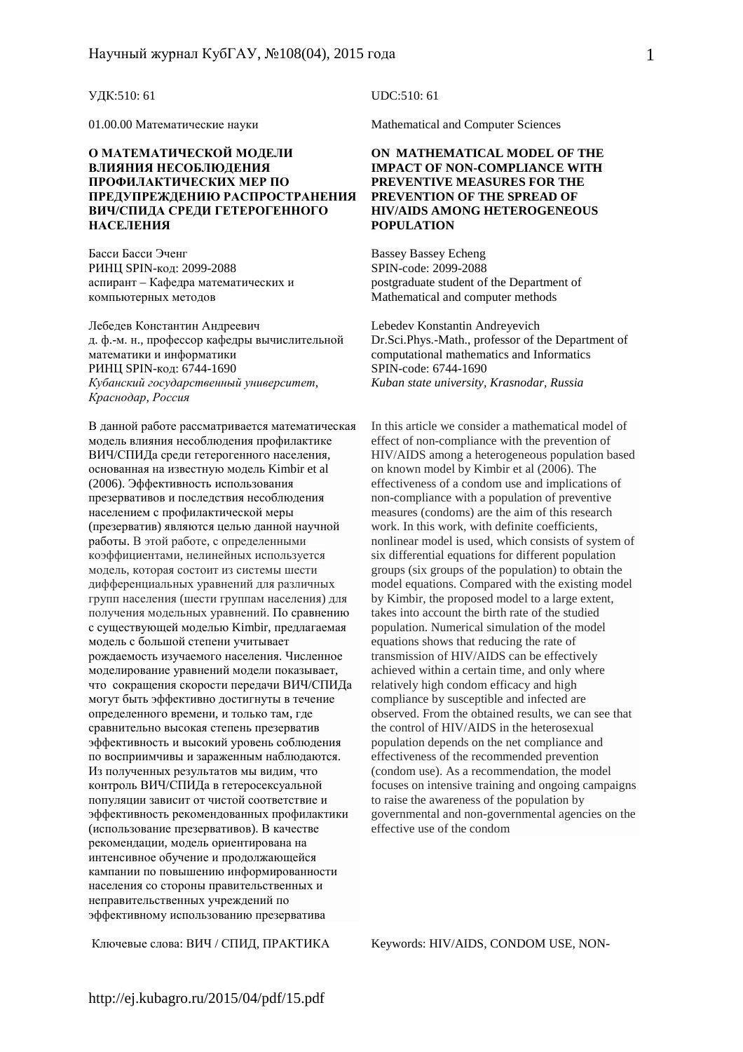#### **О МАТЕМАТИЧЕСКОЙ МОДЕЛИ ВЛИЯНИЯ НЕСОБЛЮДЕНИЯ ПРОФИЛАКТИЧЕСКИХ МЕР ПО ПРЕДУПРЕЖДЕНИЮ РАСПРОСТРАНЕНИЯ ВИЧ/СПИДА СРЕДИ ГЕТЕРОГЕННОГО НАСЕЛЕНИЯ**

Басси Басси Эченг РИНЦ SPIN-код: 2099-2088 аспирант – Кафедра математических и компьютерных методов

Лебедев Константин Андреевич Lebedev Konstantin Andreyevich д. ф.-м. н., профессор кафедры вычислительной математики и информатики РИНЦ SPIN-код: 6744-1690 *Кубанский государственный университет, Краснодар, Россия*

В данной работе рассматривается математическая модель влияния несоблюдения профилактике ВИЧ/СПИДа среди гетерогенного населения, основанная на известную модель Kimbir et al (2006). Эффективность использования презервативов и последствия несоблюдения населением с профилактической меры (презерватив) являются целью данной научной работы. В этой работе, с определенными коэффициентами, нелинейных используется модель, которая состоит из системы шести дифференциальных уравнений для различных групп населения (шести группам населения) для получения модельных уравнений. По сравнению с существующей моделью Kimbir, предлагаемая модель с большой степени учитывает рождаемость изучаемого населения. Численное моделирование уравнений модели показывает, что сокращения скорости передачи ВИЧ/СПИДа могут быть эффективно достигнуты в течение определенного времени, и только там, где сравнительно высокая степень презерватив эффективность и высокий уровень соблюдения по восприимчивы и зараженным наблюдаются. Из полученных результатов мы видим, что контроль ВИЧ/СПИДа в гетеросексуальной популяции зависит от чистой соответствие и эффективность рекомендованных профилактики (использование презервативов). В качестве рекомендации, модель ориентирована на интенсивное обучение и продолжающейся кампании по повышению информированности населения со стороны правительственных и неправительственных учреждений по эффективному использованию презерватива

#### УДК:510: 61 UDC:510: 61

01.00.00 Математические науки Mathematical and Computer Sciences

#### **ON MATHEMATICAL MODEL OF THE IMPACT OF NON-COMPLIANCE WITH PREVENTIVE MEASURES FOR THE PREVENTION OF THE SPREAD OF HIV/AIDS AMONG HETEROGENEOUS POPULATION**

Bassey Bassey Echeng SPIN-code: 2099-2088 postgraduate student of the Department of Mathematical and computer methods

Dr.Sci.Phys.-Math., professor of the Department of computational mathematics and Informatics SPIN-code: 6744-1690 *Kuban state university, Krasnodar, Russia* 

In this article we consider a mathematical model of effect of non-compliance with the prevention of HIV/AIDS among a heterogeneous population based on known model by Kimbir et al (2006). The effectiveness of a condom use and implications of non-compliance with a population of preventive measures (condoms) are the aim of this research work. In this work, with definite coefficients, nonlinear model is used, which consists of system of six differential equations for different population groups (six groups of the population) to obtain the model equations. Compared with the existing model by Kimbir, the proposed model to a large extent, takes into account the birth rate of the studied population. Numerical simulation of the model equations shows that reducing the rate of transmission of HIV/AIDS can be effectively achieved within a certain time, and only where relatively high condom efficacy and high compliance by susceptible and infected are observed. From the obtained results, we can see that the control of HIV/AIDS in the heterosexual population depends on the net compliance and effectiveness of the recommended prevention (condom use). As a recommendation, the model focuses on intensive training and ongoing campaigns to raise the awareness of the population by governmental and non-governmental agencies on the effective use of the condom

Ключевые слова: ВИЧ / СПИД, ПРАКТИКА Keywords: HIV/AIDS, CONDOM USE, NON-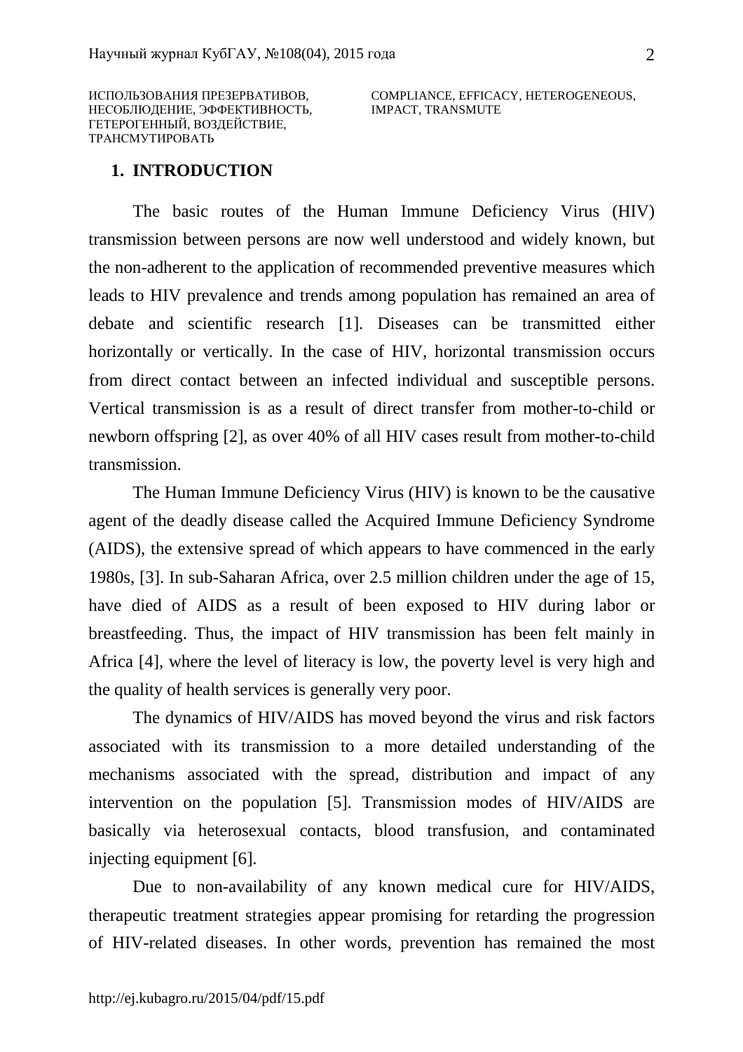ИСПОЛЬЗОВАНИЯ ПРЕЗЕРВАТИВОВ, НЕСОБЛЮДЕНИЕ, ЭФФЕКТИВНОСТЬ, ГЕТЕРОГЕННЫЙ, ВОЗДЕЙСТВИЕ, ТРАНСМУТИРОВАТЬ

COMPLIANCE, EFFICACY, HETEROGENEOUS, IMPACT, TRANSMUTE

### **1. INTRODUCTION**

The basic routes of the Human Immune Deficiency Virus (HIV) transmission between persons are now well understood and widely known, but the non-adherent to the application of recommended preventive measures which leads to HIV prevalence and trends among population has remained an area of debate and scientific research [1]. Diseases can be transmitted either horizontally or vertically. In the case of HIV, horizontal transmission occurs from direct contact between an infected individual and susceptible persons. Vertical transmission is as a result of direct transfer from mother-to-child or newborn offspring [2], as over 40% of all HIV cases result from mother-to-child transmission.

The Human Immune Deficiency Virus (HIV) is known to be the causative agent of the deadly disease called the Acquired Immune Deficiency Syndrome (AIDS), the extensive spread of which appears to have commenced in the early 1980s, [3]. In sub-Saharan Africa, over 2.5 million children under the age of 15, have died of AIDS as a result of been exposed to HIV during labor or breastfeeding. Thus, the impact of HIV transmission has been felt mainly in Africa [4], where the level of literacy is low, the poverty level is very high and the quality of health services is generally very poor.

The dynamics of HIV/AIDS has moved beyond the virus and risk factors associated with its transmission to a more detailed understanding of the mechanisms associated with the spread, distribution and impact of any intervention on the population [5]. Transmission modes of HIV/AIDS are basically via heterosexual contacts, blood transfusion, and contaminated injecting equipment [6].

Due to non-availability of any known medical cure for HIV/AIDS, therapeutic treatment strategies appear promising for retarding the progression of HIV-related diseases. In other words, prevention has remained the most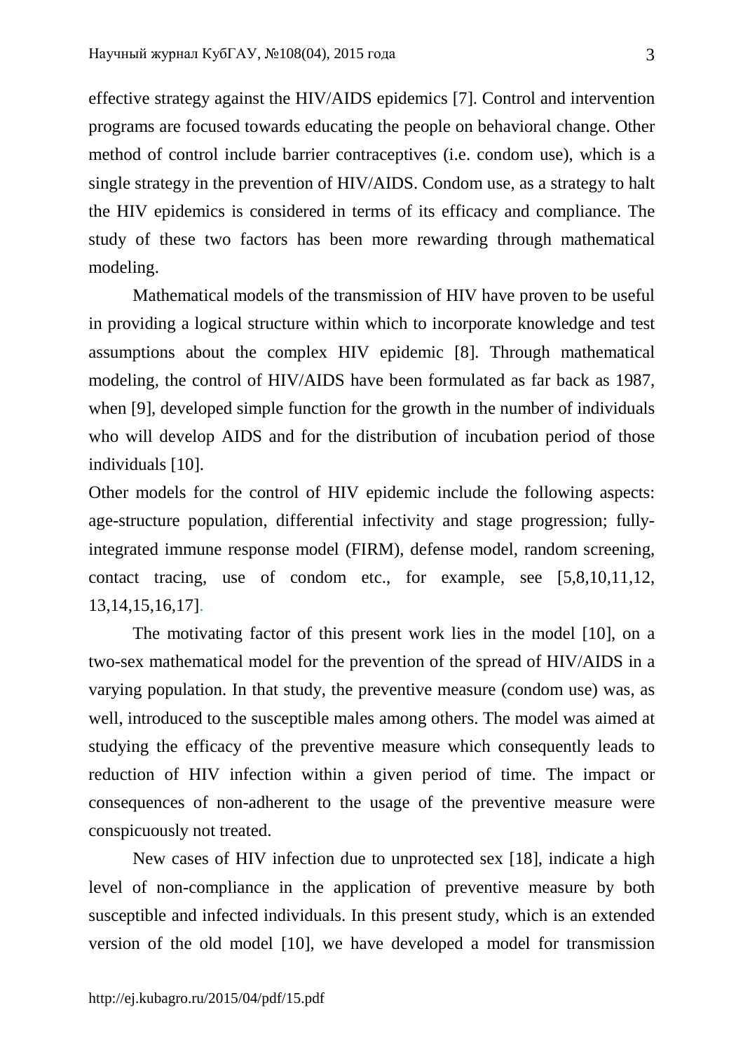effective strategy against the HIV/AIDS epidemics [7]. Control and intervention programs are focused towards educating the people on behavioral change. Other method of control include barrier contraceptives (i.e. condom use), which is a single strategy in the prevention of HIV/AIDS. Condom use, as a strategy to halt the HIV epidemics is considered in terms of its efficacy and compliance. The study of these two factors has been more rewarding through mathematical modeling.

Mathematical models of the transmission of HIV have proven to be useful in providing a logical structure within which to incorporate knowledge and test assumptions about the complex HIV epidemic [8]. Through mathematical modeling, the control of HIV/AIDS have been formulated as far back as 1987, when [9], developed simple function for the growth in the number of individuals who will develop AIDS and for the distribution of incubation period of those individuals [10].

Other models for the control of HIV epidemic include the following aspects: age-structure population, differential infectivity and stage progression; fullyintegrated immune response model (FIRM), defense model, random screening, contact tracing, use of condom etc., for example, see [5,8,10,11,12, 13,14,15,16,17].

The motivating factor of this present work lies in the model [10], on a two-sex mathematical model for the prevention of the spread of HIV/AIDS in a varying population. In that study, the preventive measure (condom use) was, as well, introduced to the susceptible males among others. The model was aimed at studying the efficacy of the preventive measure which consequently leads to reduction of HIV infection within a given period of time. The impact or consequences of non-adherent to the usage of the preventive measure were conspicuously not treated.

New cases of HIV infection due to unprotected sex [18], indicate a high level of non-compliance in the application of preventive measure by both susceptible and infected individuals. In this present study, which is an extended version of the old model [10], we have developed a model for transmission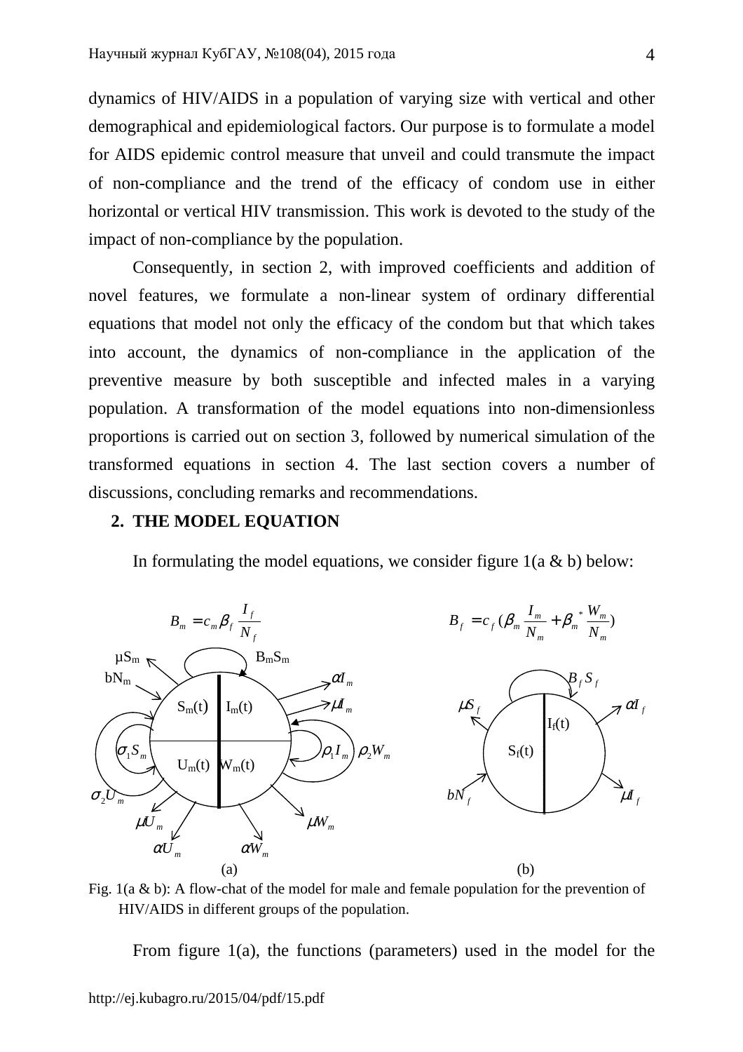dynamics of HIV/AIDS in a population of varying size with vertical and other demographical and epidemiological factors. Our purpose is to formulate a model for AIDS epidemic control measure that unveil and could transmute the impact of non-compliance and the trend of the efficacy of condom use in either horizontal or vertical HIV transmission. This work is devoted to the study of the impact of non-compliance by the population.

Consequently, in section 2, with improved coefficients and addition of novel features, we formulate a non-linear system of ordinary differential equations that model not only the efficacy of the condom but that which takes into account, the dynamics of non-compliance in the application of the preventive measure by both susceptible and infected males in a varying population. A transformation of the model equations into non-dimensionless proportions is carried out on section 3, followed by numerical simulation of the transformed equations in section 4. The last section covers a number of discussions, concluding remarks and recommendations.

### **2. THE MODEL EQUATION**

In formulating the model equations, we consider figure  $1(a \& b)$  below:



Fig. 1(a & b): A flow-chat of the model for male and female population for the prevention of HIV/AIDS in different groups of the population.

From figure 1(a), the functions (parameters) used in the model for the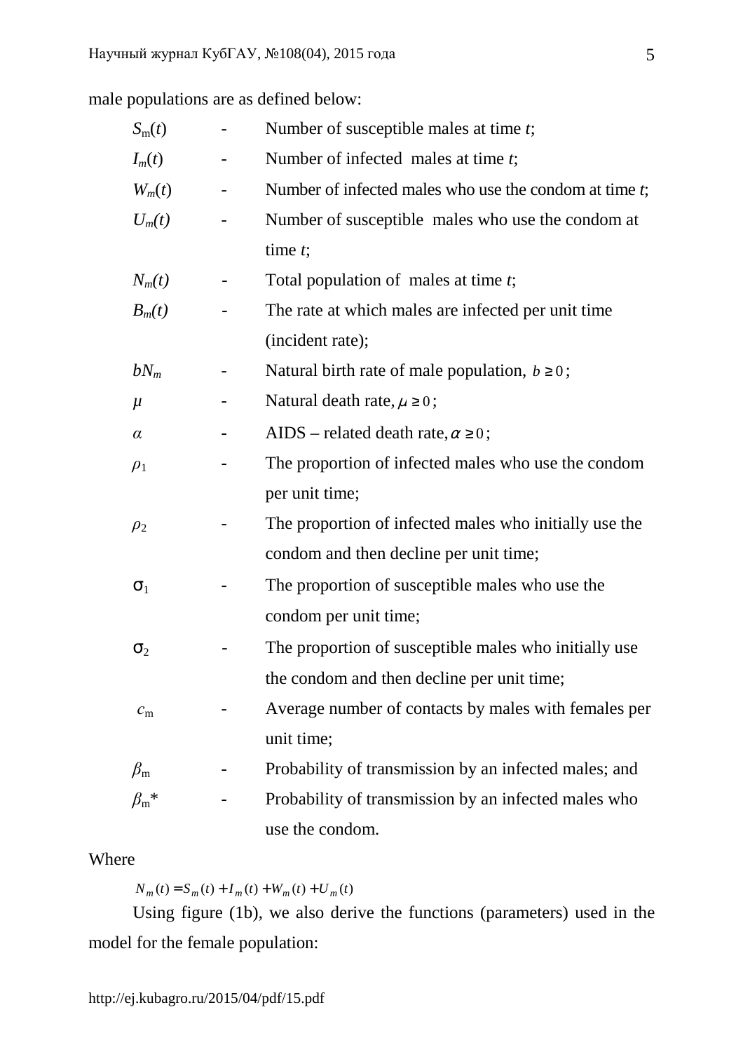male populations are as defined below:

| $S_{\rm m}(t)$      | Number of susceptible males at time t;                    |  |  |  |  |  |  |
|---------------------|-----------------------------------------------------------|--|--|--|--|--|--|
| $I_m(t)$            | Number of infected males at time t;                       |  |  |  |  |  |  |
| $W_m(t)$            | Number of infected males who use the condom at time $t$ ; |  |  |  |  |  |  |
| $U_m(t)$            | Number of susceptible males who use the condom at         |  |  |  |  |  |  |
|                     | time $t$ ;                                                |  |  |  |  |  |  |
| $N_m(t)$            | Total population of males at time $t$ ;                   |  |  |  |  |  |  |
| $B_m(t)$            | The rate at which males are infected per unit time        |  |  |  |  |  |  |
|                     | (incident rate);                                          |  |  |  |  |  |  |
| $bN_m$              | Natural birth rate of male population, $b \ge 0$ ;        |  |  |  |  |  |  |
| $\mu$               | Natural death rate, $\mu \ge 0$ ;                         |  |  |  |  |  |  |
| $\alpha$            | AIDS – related death rate, $\alpha \ge 0$ ;               |  |  |  |  |  |  |
| $\rho_1$            | The proportion of infected males who use the condom       |  |  |  |  |  |  |
|                     | per unit time;                                            |  |  |  |  |  |  |
| $\rho_2$            | The proportion of infected males who initially use the    |  |  |  |  |  |  |
|                     | condom and then decline per unit time;                    |  |  |  |  |  |  |
| $\sigma_1$          | The proportion of susceptible males who use the           |  |  |  |  |  |  |
|                     | condom per unit time;                                     |  |  |  |  |  |  |
| $\sigma_2$          | The proportion of susceptible males who initially use     |  |  |  |  |  |  |
|                     | the condom and then decline per unit time;                |  |  |  |  |  |  |
| $c_{\rm m}$         | Average number of contacts by males with females per      |  |  |  |  |  |  |
|                     | unit time;                                                |  |  |  |  |  |  |
| $\beta_{\rm m}$     | Probability of transmission by an infected males; and     |  |  |  |  |  |  |
| $\beta_{\rm m}{}^*$ | Probability of transmission by an infected males who      |  |  |  |  |  |  |
|                     | use the condom.                                           |  |  |  |  |  |  |

# Where

 $N_m(t) = S_m(t) + I_m(t) + W_m(t) + U_m(t)$ 

Using figure (1b), we also derive the functions (parameters) used in the model for the female population: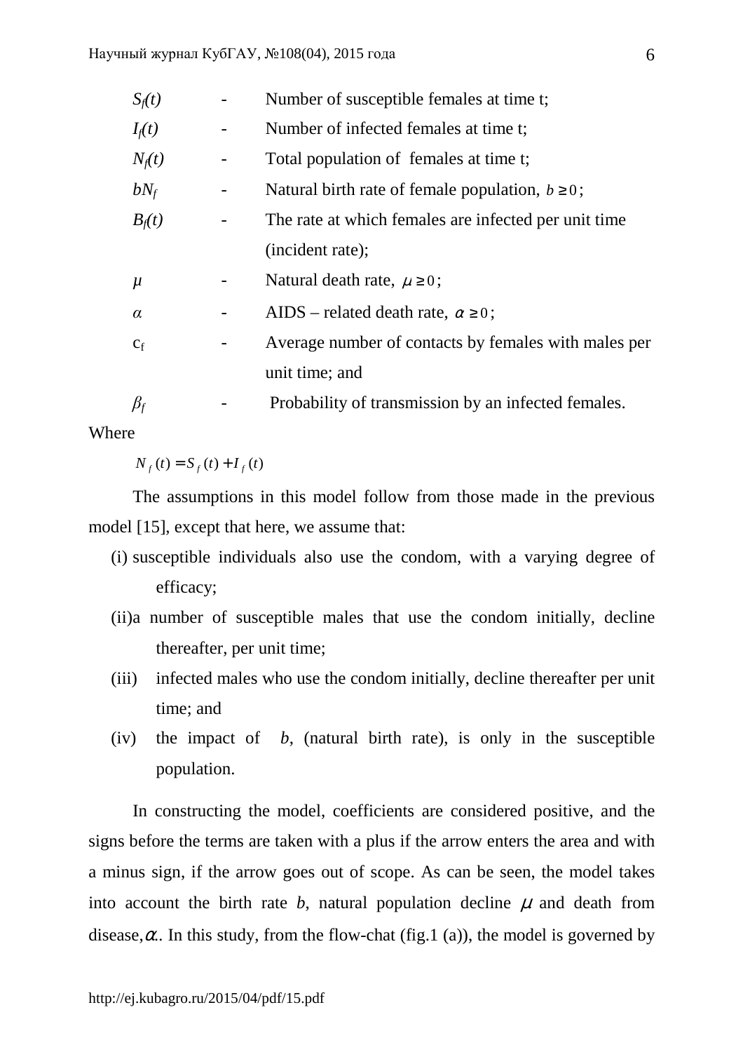| $S_f(t)$  |   | Number of susceptible females at time t;             |  |  |  |  |  |  |
|-----------|---|------------------------------------------------------|--|--|--|--|--|--|
| $I_f(t)$  |   | Number of infected females at time t;                |  |  |  |  |  |  |
| $N_f(t)$  | ۰ | Total population of females at time t;               |  |  |  |  |  |  |
| $bN_f$    | - | Natural birth rate of female population, $b \ge 0$ ; |  |  |  |  |  |  |
| $B_f(t)$  |   | The rate at which females are infected per unit time |  |  |  |  |  |  |
|           |   | (incident rate);                                     |  |  |  |  |  |  |
| $\mu$     |   | Natural death rate, $\mu \ge 0$ ;                    |  |  |  |  |  |  |
| $\alpha$  |   | AIDS – related death rate, $\alpha \ge 0$ ;          |  |  |  |  |  |  |
| $C_f$     |   | Average number of contacts by females with males per |  |  |  |  |  |  |
|           |   | unit time; and                                       |  |  |  |  |  |  |
| $\beta_f$ |   | Probability of transmission by an infected females.  |  |  |  |  |  |  |

**Where** 

 $N_f(t) = S_f(t) + I_f(t)$ 

The assumptions in this model follow from those made in the previous model [15], except that here, we assume that:

- (i) susceptible individuals also use the condom, with a varying degree of efficacy;
- (ii)a number of susceptible males that use the condom initially, decline thereafter, per unit time;
- (iii) infected males who use the condom initially, decline thereafter per unit time; and
- (iv) the impact of *b*, (natural birth rate), is only in the susceptible population.

In constructing the model, coefficients are considered positive, and the signs before the terms are taken with a plus if the arrow enters the area and with a minus sign, if the arrow goes out of scope. As can be seen, the model takes into account the birth rate  $b$ , natural population decline  $\mu$  and death from disease, $\alpha$ . In this study, from the flow-chat (fig.1 (a)), the model is governed by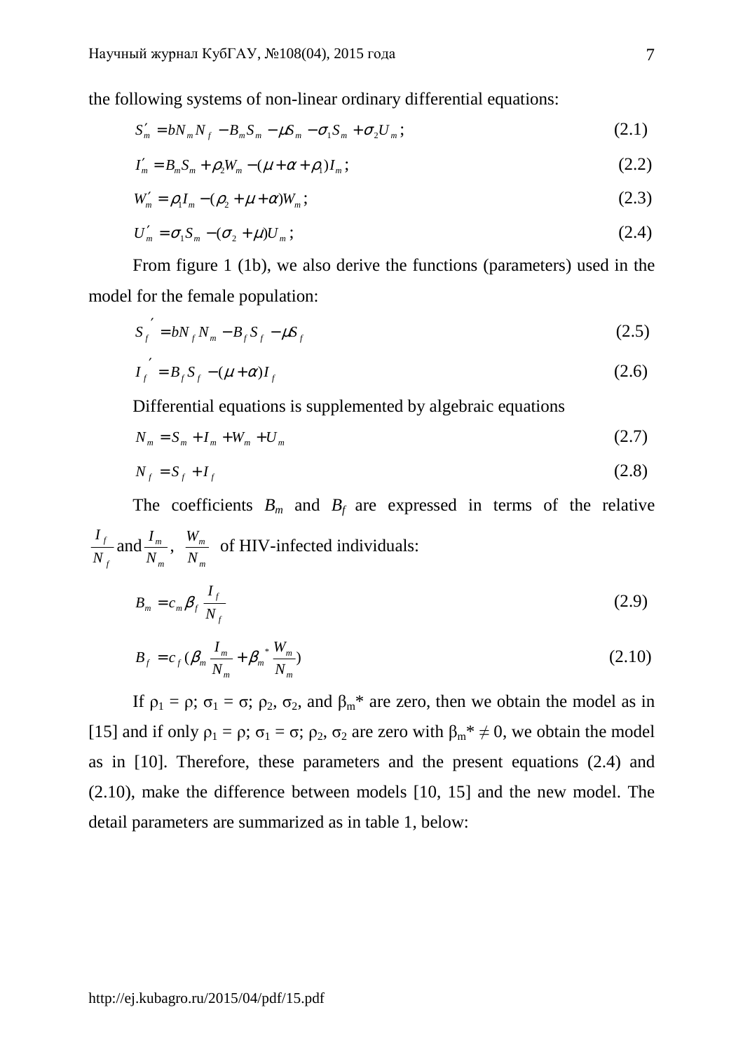the following systems of non-linear ordinary differential equations:

$$
S'_{m} = bN_{m}N_{f} - B_{m}S_{m} - \mu S_{m} - \sigma_{1}S_{m} + \sigma_{2}U_{m};
$$
\n
$$
(2.1)
$$

$$
I'_m = B_m S_m + \rho_2 W_m - (\mu + \alpha + \rho_1) I_m; \qquad (2.2)
$$

$$
W'_{m} = \rho_{1} I_{m} - (\rho_{2} + \mu + \alpha) W_{m};
$$
\n(2.3)

$$
U'_m = \sigma_1 S_m - (\sigma_2 + \mu) U_m; \qquad (2.4)
$$

From figure 1 (1b), we also derive the functions (parameters) used in the model for the female population:

$$
S_f^{\prime} = bN_f N_m - B_f S_f - \mu S_f \tag{2.5}
$$

$$
I_f' = B_f S_f - (\mu + \alpha) I_f
$$
 (2.6)

Differential equations is supplemented by algebraic equations

$$
N_m = S_m + I_m + W_m + U_m \tag{2.7}
$$

$$
N_f = S_f + I_f \tag{2.8}
$$

The coefficients  $B_m$  and  $B_f$  are expressed in terms of the relative *f f N*  $\frac{I_f}{I}$  and *m m N*  $\frac{I_m}{I_m}$ , *m m N*  $\frac{W_m}{W_m}$  of HIV-infected individuals:

$$
B_m = c_m \beta_f \frac{I_f}{N_f} \tag{2.9}
$$

$$
B_f = c_f \left( \beta_m \frac{I_m}{N_m} + \beta_m \frac{W_m}{N_m} \right) \tag{2.10}
$$

If  $\rho_1 = \rho$ ;  $\sigma_1 = \sigma$ ;  $\rho_2$ ,  $\sigma_2$ , and  $\beta_m^*$  are zero, then we obtain the model as in [15] and if only  $\rho_1 = \rho$ ;  $\sigma_1 = \sigma$ ;  $\rho_2$ ,  $\sigma_2$  are zero with  $\beta_m^* \neq 0$ , we obtain the model as in [10]. Therefore, these parameters and the present equations (2.4) and (2.10), make the difference between models [10, 15] and the new model. The detail parameters are summarized as in table 1, below: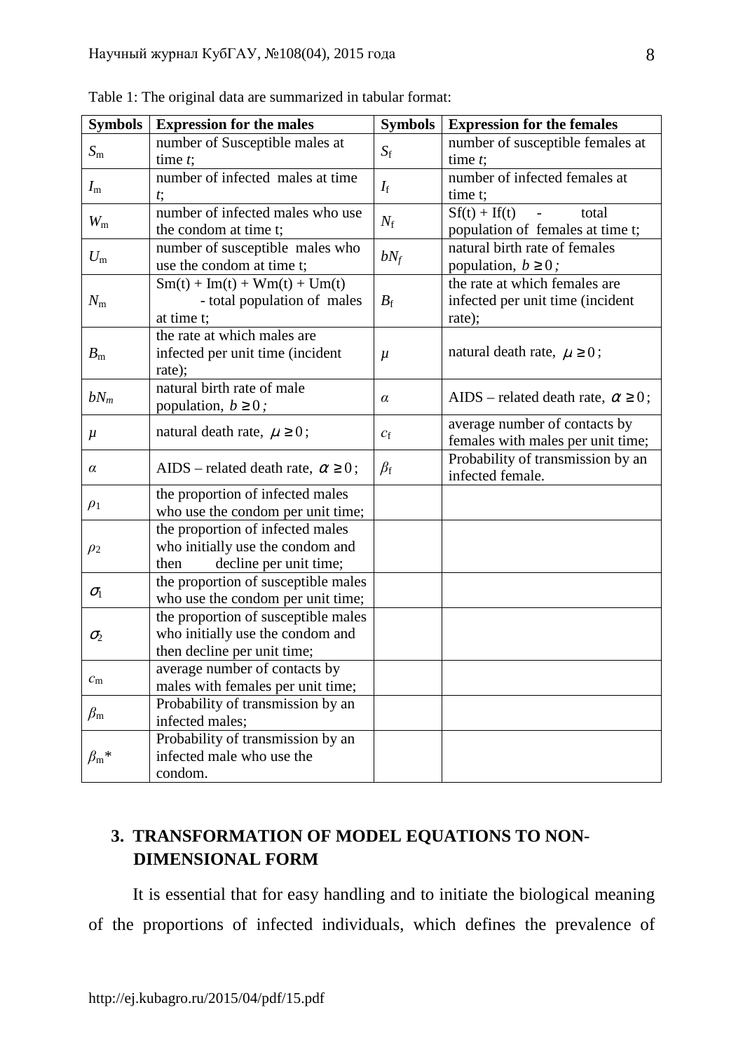| <b>Symbols</b>      | <b>Expression for the males</b>                                                                        | <b>Symbols</b>    | <b>Expression for the females</b>                                              |  |  |
|---------------------|--------------------------------------------------------------------------------------------------------|-------------------|--------------------------------------------------------------------------------|--|--|
| $S_{\rm m}$         | number of Susceptible males at<br>time $t$ ;                                                           | $S_{\rm f}$       | number of susceptible females at<br>time $t$ ;                                 |  |  |
| $I_{\rm m}$         | number of infected males at time<br>$t$ ;                                                              | $I_{\rm f}$       | number of infected females at<br>time t:                                       |  |  |
| $W_{\rm m}$         | number of infected males who use<br>the condom at time t;                                              | $N_{\rm f}$       | $Sf(t) + If(t)$<br>total<br>$\blacksquare$<br>population of females at time t; |  |  |
| $U_{\rm m}$         | number of susceptible males who<br>use the condom at time t;                                           | $bN_f$            | natural birth rate of females<br>population, $b \ge 0$ ;                       |  |  |
| $N_{\rm m}$         | $Sm(t) + Im(t) + Wm(t) + Um(t)$<br>- total population of males<br>at time t;                           | $B_{\rm f}$       | the rate at which females are<br>infected per unit time (incident<br>rate);    |  |  |
| $B_{\rm m}$         | the rate at which males are<br>infected per unit time (incident<br>rate);                              | $\mu$             | natural death rate, $\mu \geq 0$ ;                                             |  |  |
| $bN_m$              | natural birth rate of male<br>population, $b \ge 0$ ;                                                  | α                 | AIDS – related death rate, $\alpha \ge 0$ ;                                    |  |  |
| $\mu$               | natural death rate, $\mu \geq 0$ ;                                                                     | $\mathcal{C}_{f}$ | average number of contacts by<br>females with males per unit time;             |  |  |
| $\alpha$            | AIDS – related death rate, $\alpha \ge 0$ ;                                                            | $\beta_{\rm f}$   | Probability of transmission by an<br>infected female.                          |  |  |
| $\rho_1$            | the proportion of infected males<br>who use the condom per unit time;                                  |                   |                                                                                |  |  |
| $\rho_2$            | the proportion of infected males<br>who initially use the condom and<br>then<br>decline per unit time; |                   |                                                                                |  |  |
| $\sigma_{1}$        | the proportion of susceptible males<br>who use the condom per unit time;                               |                   |                                                                                |  |  |
| $\sigma_2$          | the proportion of susceptible males<br>who initially use the condom and<br>then decline per unit time; |                   |                                                                                |  |  |
| $c_{\rm m}$         | average number of contacts by<br>males with females per unit time;                                     |                   |                                                                                |  |  |
| $\beta_{\rm m}$     | Probability of transmission by an<br>infected males;                                                   |                   |                                                                                |  |  |
| $\beta_{\rm m}{}^*$ | Probability of transmission by an<br>infected male who use the<br>condom.                              |                   |                                                                                |  |  |

Table 1: The original data are summarized in tabular format:

# **3. TRANSFORMATION OF MODEL EQUATIONS TO NON-DIMENSIONAL FORM**

It is essential that for easy handling and to initiate the biological meaning of the proportions of infected individuals, which defines the prevalence of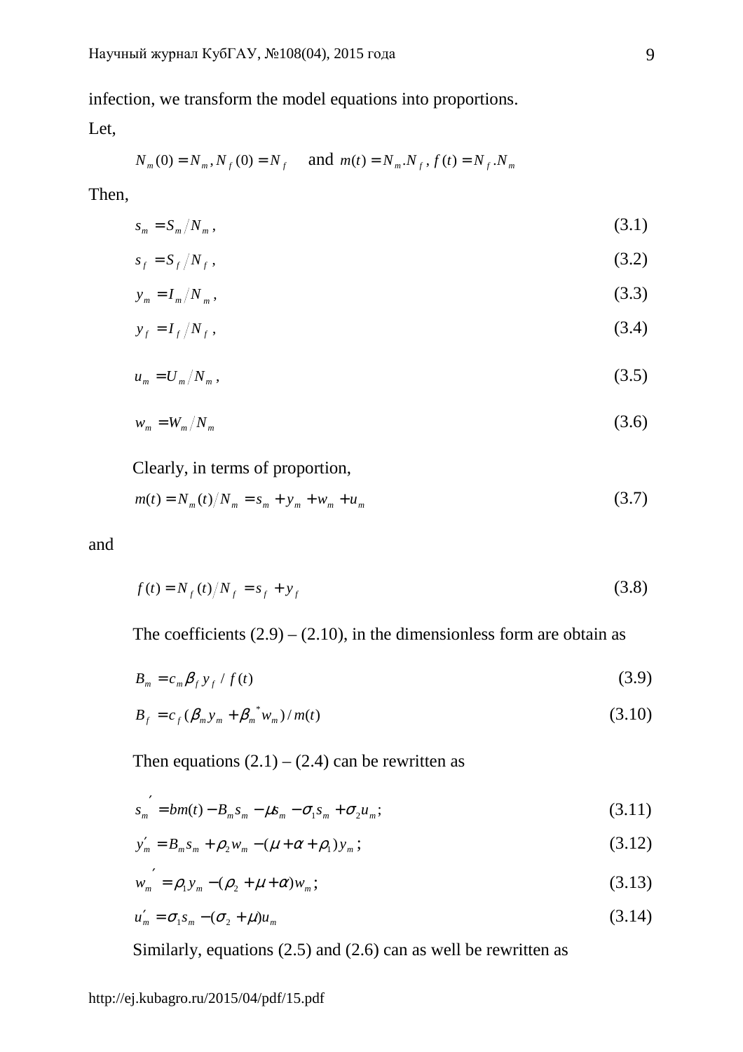infection, we transform the model equations into proportions.

Let,

$$
N_m(0) = N_m
$$
,  $N_f(0) = N_f$  and  $m(t) = N_m$ .  $N_f$ ,  $f(t) = N_f$ .  $N_m$ 

Then,

$$
s_m = S_m / N_m \,,\tag{3.1}
$$

$$
s_f = S_f / N_f, \qquad (3.2)
$$

$$
y_m = I_m / N_m, \qquad (3.3)
$$

$$
y_f = I_f / N_f, \qquad (3.4)
$$

$$
u_m = U_m / N_m, \qquad (3.5)
$$

$$
w_m = W_m / N_m \tag{3.6}
$$

Clearly, in terms of proportion,

$$
m(t) = N_m(t)/N_m = s_m + y_m + w_m + u_m
$$
\n(3.7)

and

$$
f(t) = N_f(t)/N_f = s_f + y_f
$$
\n(3.8)

The coefficients  $(2.9) - (2.10)$ , in the dimensionless form are obtain as

$$
B_m = c_m \beta_f y_f / f(t) \tag{3.9}
$$

$$
B_f = c_f (\beta_m y_m + \beta_m^* w_m) / m(t)
$$
 (3.10)

Then equations  $(2.1) - (2.4)$  can be rewritten as

$$
s_{m}^{\prime} = bm(t) - B_{m}s_{m} - \mu s_{m} - \sigma_{1}s_{m} + \sigma_{2}u_{m};
$$
\n(3.11)

$$
y'_{m} = B_{m} s_{m} + \rho_{2} w_{m} - (\mu + \alpha + \rho_{1}) y_{m};
$$
\n(3.12)

$$
w_m' = \rho_1 y_m - (\rho_2 + \mu + \alpha) w_m; \tag{3.13}
$$

$$
u'_m = \sigma_1 s_m - (\sigma_2 + \mu) u_m \tag{3.14}
$$

Similarly, equations (2.5) and (2.6) can as well be rewritten as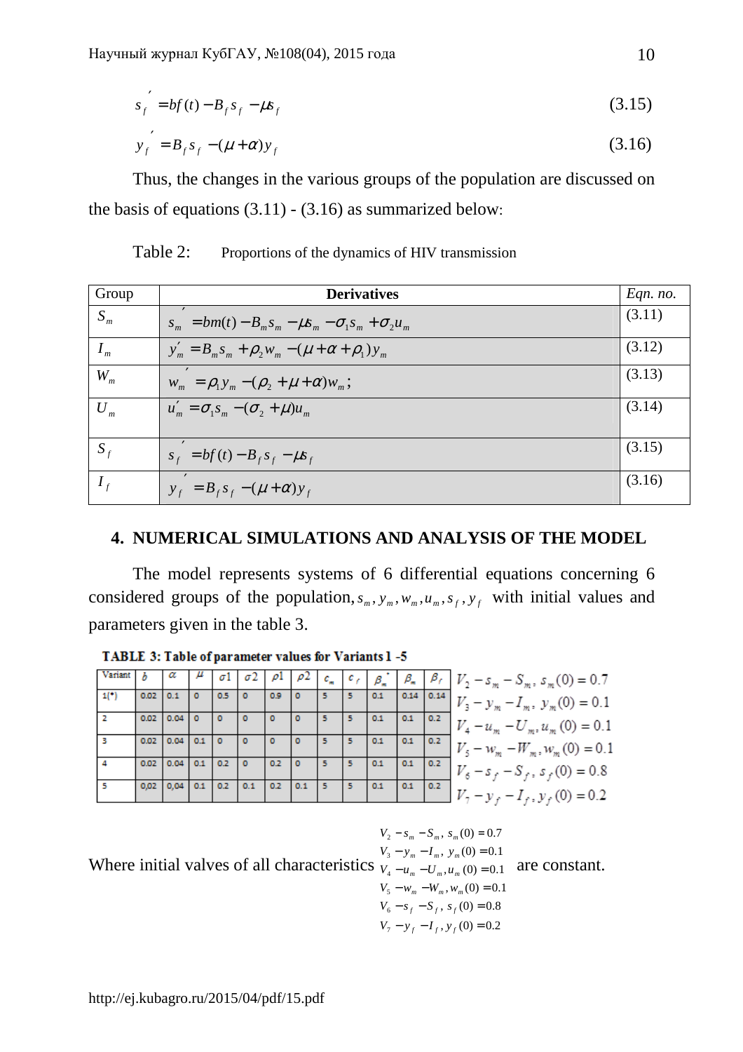$$
s_f' = bf(t) - B_f s_f - \mu s_f \tag{3.15}
$$

$$
y_f' = B_f s_f - (\mu + \alpha) y_f
$$
 (3.16)

Thus, the changes in the various groups of the population are discussed on the basis of equations  $(3.11) - (3.16)$  as summarized below:

| Group                      | <b>Derivatives</b>                                              | Eqn. no. |
|----------------------------|-----------------------------------------------------------------|----------|
| $S_m$                      | $s_m = bm(t) - B_m s_m - \mu s_m - \sigma_1 s_m + \sigma_2 u_m$ | (3.11)   |
| $I_{m}$                    | $y'_m = B_m s_m + \rho_2 w_m - (\mu + \alpha + \rho_1) y_m$     | (3.12)   |
| $W_{m}$                    | $W_m = \rho_1 y_m - (\rho_2 + \mu + \alpha) W_m;$               | (3.13)   |
| $U_{\scriptscriptstyle m}$ | $u'_m = \sigma_1 s_m - (\sigma_2 + \mu) u_m$                    | (3.14)   |
| $S_f$                      | $S_f = bf(t) - B_f S_f - \mu S_f$                               | (3.15)   |
| $I_{\ell}$                 | $y_f = B_f s_f - (\mu + \alpha) y_f$                            | (3.16)   |

Table 2: Proportions of the dynamics of HIV transmission

# **4. NUMERICAL SIMULATIONS AND ANALYSIS OF THE MODEL**

The model represents systems of 6 differential equations concerning 6 considered groups of the population,  $s_m$ ,  $y_m$ ,  $w_m$ ,  $u_m$ ,  $s_f$ ,  $y_f$  with initial values and parameters given in the table 3.

|      |      |      |     |     |     |     |     | $c_{\scriptscriptstyle m}$ |    | $\beta_{\ast}$ | $\beta_{\ast}$ | $\beta_{f}$ | $V_2 - s_m - S_m$ , $s_m(0) = 0.7$ |
|------|------|------|-----|-----|-----|-----|-----|----------------------------|----|----------------|----------------|-------------|------------------------------------|
| 1(°) | 0.02 |      |     | 0.5 |     | 0.9 |     |                            |    | 0.1            | 0.14           | 0.14        | $-y_m - I_m$ , $y_m(0) = 0.1$      |
|      | 0.02 | 0.04 |     | ٥   | o   | ۰   |     |                            | 5. | 0.1            | 0.1            | 0.2         | $-u_m - U_m, u_m(0) = 0.1$         |
|      | 0.02 | 0.04 |     |     |     |     |     |                            |    | 0.1            | 0.1            | 0.2         | $-w_m - W_m, w_m(0) = 0.1$         |
|      | 0.02 | 0.04 | 0.1 | 0.2 |     | 0.2 | o   | 5                          |    | 0.1            | 0.1            | 0.2         | $-s_f - S_f$ , $s_f(0) = 0.8$      |
|      | 0,02 | 0.04 | 0.1 | 0.2 | 0.1 | 0.2 | 0.1 |                            |    | 0.1            | 0.1            | 0.2         | $I_f$ , $y_f$ (0) = 0.2            |

TABLE 3: Table of parameter values for Variants 1-5

Where initial valves of all characteristics  $V_4 - u_m - U_m$ ,  $u_m(0) = 0.1$  $V_7 - y_f - I_f$ ,  $y_f(0) = 0.2$  $V_6 - s_f - S_f$ ,  $s_f(0) = 0.8$  $V_5 - w_m - W_m$ ,  $w_m(0) = 0.1$  $V_3 - y_m - I_m$ ,  $y_m(0) = 0.1$  $V_2 - s_m - S_m$ ,  $s_m(0) = 0.7$ 3  $-u_m - U_m, u_m(0) =$  $m = \frac{1}{m}, y_m$  $V_4 - u_m - U_m$ ,  $u_m(0) = 0.1$  are constant.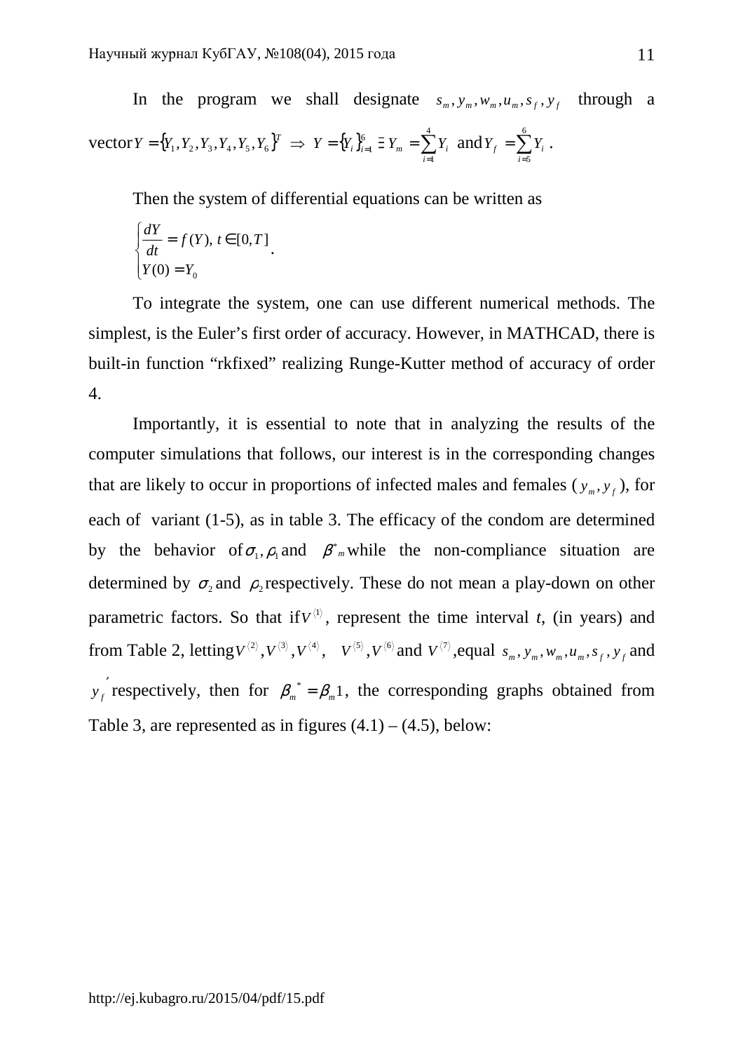In the program we shall designate  $s_m$ ,  $y_m$ ,  $w_m$ ,  $u_m$ ,  $s_f$ ,  $y_f$  through a  $\text{vector } Y = \{Y_1, Y_2, Y_3, Y_4, Y_5, Y_6\}^T \implies Y = \{Y_i\}_{i=1}^6$  $Y = \{Y_i\}_{i=1}^6 \ni Y_m = \sum$ = = 4  $i = 1$  $Y_m = \sum Y_i$  and  $Y_f = \sum Y_i$ = = 6 *i*=5  $Y_f = \sum Y_i$ .

Then the system of differential equations can be written as

$$
\begin{cases}\n\frac{dY}{dt} = f(Y), \, t \in [0, T] \\
Y(0) = Y_0\n\end{cases}
$$

To integrate the system, one can use different numerical methods. The simplest, is the Euler's first order of accuracy. However, in MATHCAD, there is built-in function "rkfixed" realizing Runge-Kutter method of accuracy of order 4.

Importantly, it is essential to note that in analyzing the results of the computer simulations that follows, our interest is in the corresponding changes that are likely to occur in proportions of infected males and females  $(y_m, y_f)$ , for each of variant (1-5), as in table 3. The efficacy of the condom are determined by the behavior of  $\sigma_1$ ,  $\rho_1$  and  $\beta^*$  while the non-compliance situation are determined by  $\sigma_2$  and  $\rho_2$  respectively. These do not mean a play-down on other parametric factors. So that if  $V^{(1)}$ , represent the time interval *t*, (in years) and from Table 2, letting  $V^{(2)}, V^{(3)}, V^{(4)}, V^{(5)}, V^{(6)}$  and  $V^{(7)}$ , equal  $s_m, y_m, w_m, a_m, s_f, y_f$  and ′  $y_f$  respectively, then for  $\beta_m^* = \beta_m 1$ , the corresponding graphs obtained from Table 3, are represented as in figures  $(4.1) - (4.5)$ , below: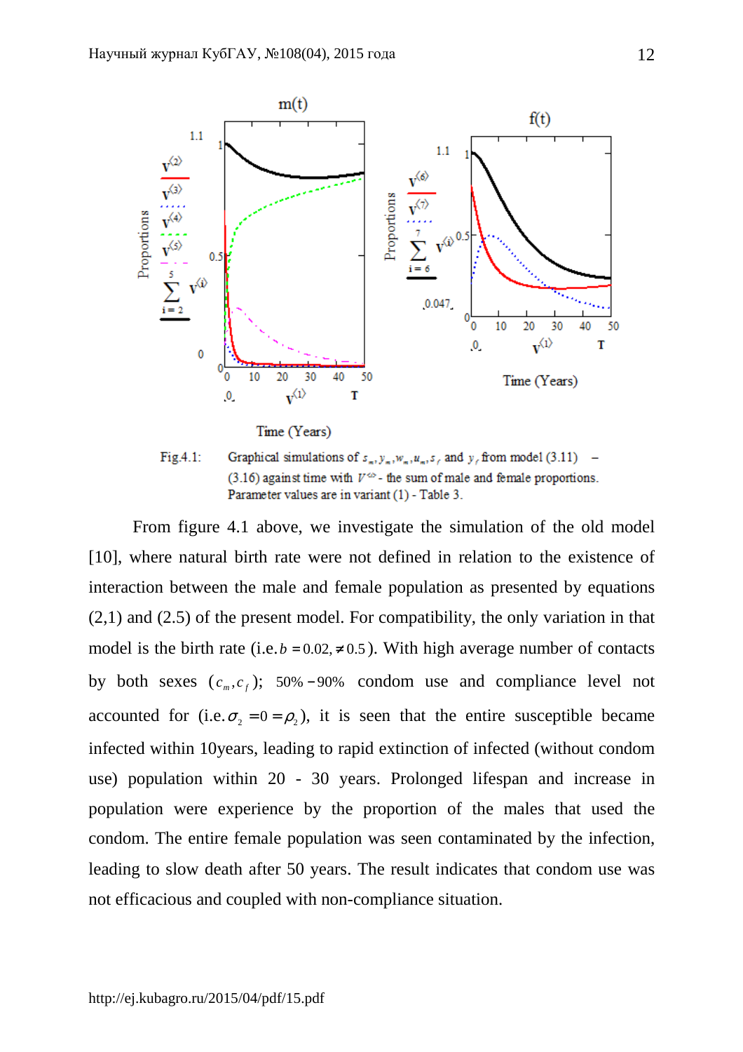

Fig.4.1: Graphical simulations of  $s_-, y_-, w_-, u_-, s_+$  and y, from model (3.11) – (3.16) against time with  $V^{\infty}$ - the sum of male and female proportions. Parameter values are in variant (1) - Table 3.

From figure 4.1 above, we investigate the simulation of the old model [10], where natural birth rate were not defined in relation to the existence of interaction between the male and female population as presented by equations (2,1) and (2.5) of the present model. For compatibility, the only variation in that model is the birth rate (i.e.  $b = 0.02 \neq 0.5$ ). With high average number of contacts by both sexes  $(c_m, c_f)$ ; 50% − 90% condom use and compliance level not accounted for (i.e.  $\sigma_2 = 0 = \rho_2$ ), it is seen that the entire susceptible became infected within 10years, leading to rapid extinction of infected (without condom use) population within 20 - 30 years. Prolonged lifespan and increase in population were experience by the proportion of the males that used the condom. The entire female population was seen contaminated by the infection, leading to slow death after 50 years. The result indicates that condom use was not efficacious and coupled with non-compliance situation.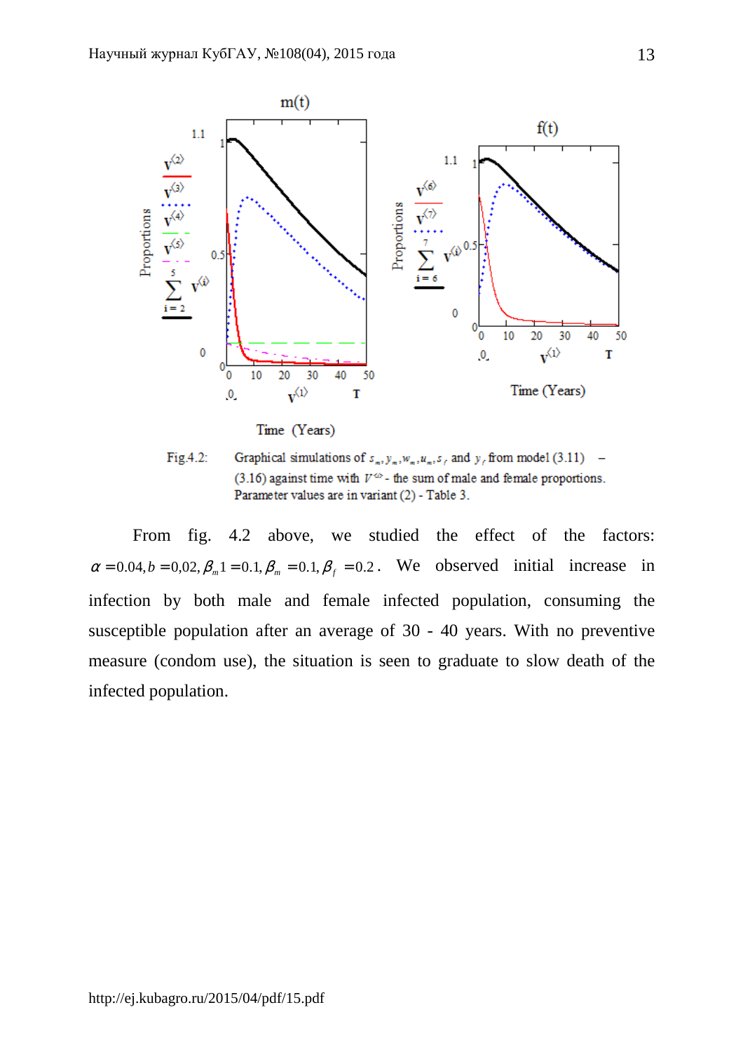

Time (Years)

Fig.4.2: Graphical simulations of  $s_1, y_2, w_3, u_4, s_5$  and  $y_6$  from model (3.11) – (3.16) against time with  $V^{\infty}$ - the sum of male and female proportions. Parameter values are in variant (2) - Table 3.

From fig. 4.2 above, we studied the effect of the factors:  $\alpha = 0.04, b = 0.02, \beta_m 1 = 0.1, \beta_m = 0.1, \beta_f = 0.2$ . We observed initial increase in infection by both male and female infected population, consuming the susceptible population after an average of 30 - 40 years. With no preventive measure (condom use), the situation is seen to graduate to slow death of the infected population.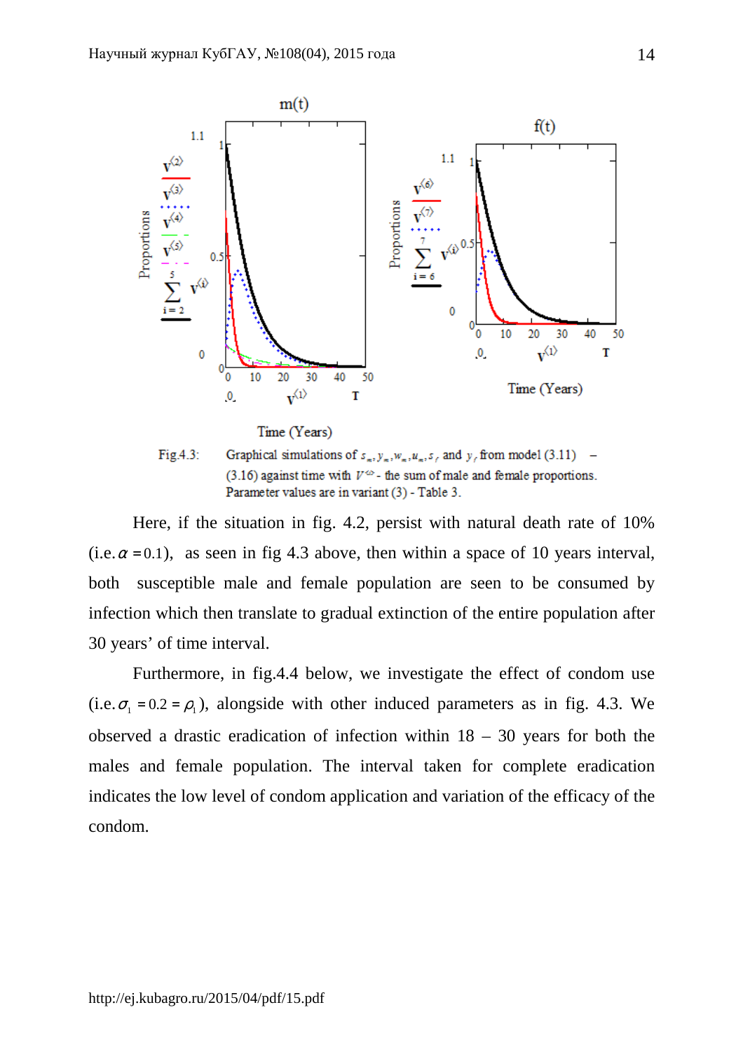

(3.16) against time with  $V^{\infty}$ - the sum of male and female proportions. Parameter values are in variant (3) - Table 3.

Here, if the situation in fig. 4.2, persist with natural death rate of 10% (i.e.  $\alpha$  = 0.1), as seen in fig 4.3 above, then within a space of 10 years interval, both susceptible male and female population are seen to be consumed by infection which then translate to gradual extinction of the entire population after 30 years' of time interval.

Furthermore, in fig.4.4 below, we investigate the effect of condom use (i.e.  $\sigma_1 = 0.2 = \rho_1$ ), alongside with other induced parameters as in fig. 4.3. We observed a drastic eradication of infection within  $18 - 30$  years for both the males and female population. The interval taken for complete eradication indicates the low level of condom application and variation of the efficacy of the condom.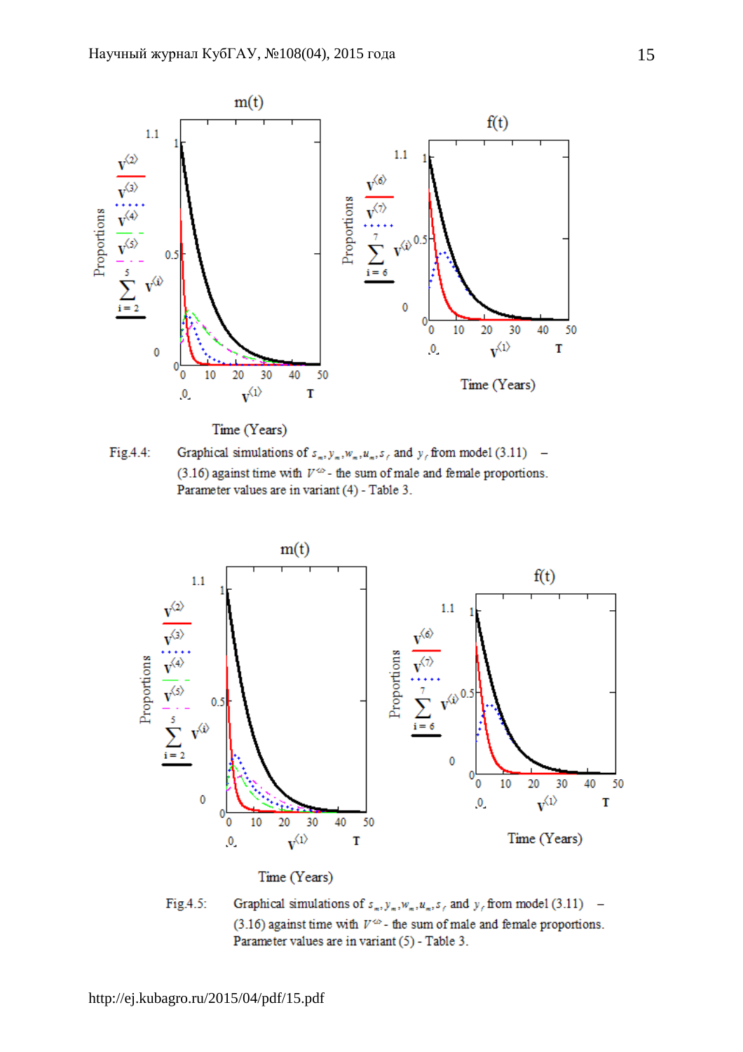

Time (Years)





Time (Years)

Graphical simulations of  $s_m, y_m, w_m, a_f$  and  $y_f$  from model (3.11) – Fig.4.5: (3.16) against time with  $V^{\infty}$ - the sum of male and female proportions. Parameter values are in variant (5) - Table 3.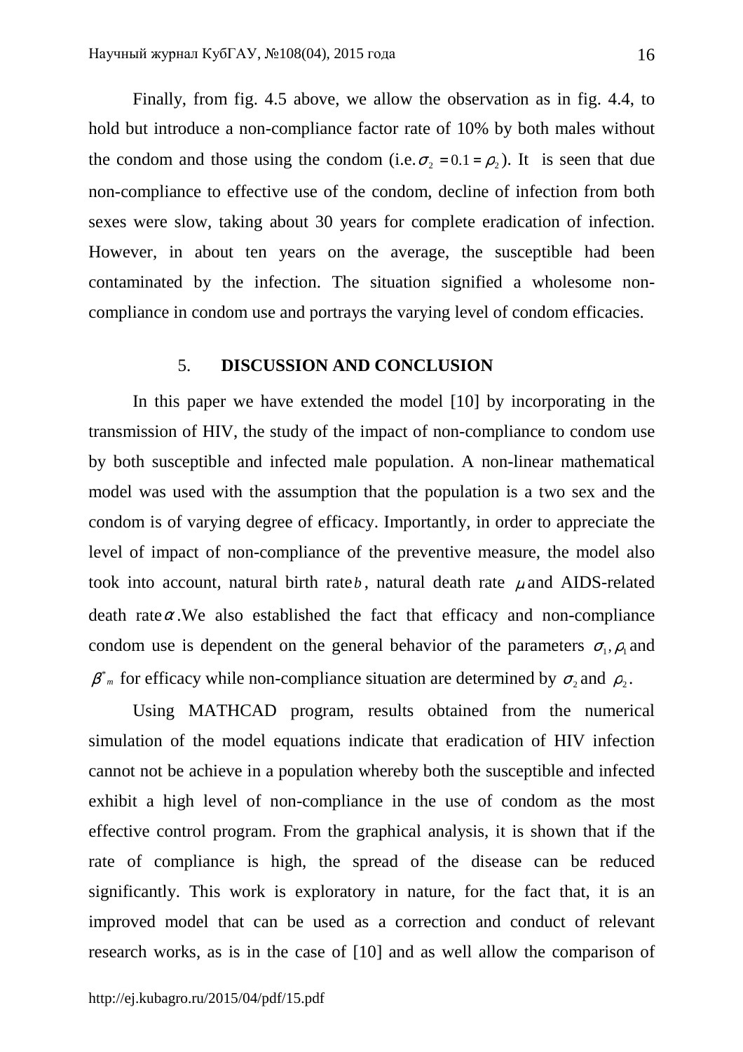Finally, from fig. 4.5 above, we allow the observation as in fig. 4.4, to hold but introduce a non-compliance factor rate of 10% by both males without the condom and those using the condom (i.e.  $\sigma_2 = 0.1 = \rho_2$ ). It is seen that due non-compliance to effective use of the condom, decline of infection from both sexes were slow, taking about 30 years for complete eradication of infection. However, in about ten years on the average, the susceptible had been contaminated by the infection. The situation signified a wholesome noncompliance in condom use and portrays the varying level of condom efficacies.

### 5. **DISCUSSION AND CONCLUSION**

In this paper we have extended the model [10] by incorporating in the transmission of HIV, the study of the impact of non-compliance to condom use by both susceptible and infected male population. A non-linear mathematical model was used with the assumption that the population is a two sex and the condom is of varying degree of efficacy. Importantly, in order to appreciate the level of impact of non-compliance of the preventive measure, the model also took into account, natural birth rate $b$ , natural death rate  $\mu$  and AIDS-related death rate $\alpha$ . We also established the fact that efficacy and non-compliance condom use is dependent on the general behavior of the parameters  $\sigma_1, \rho_1$  and  $\beta^*$ <sup>*m*</sup> for efficacy while non-compliance situation are determined by  $\sigma_2$  and  $\rho_2$ .

Using MATHCAD program, results obtained from the numerical simulation of the model equations indicate that eradication of HIV infection cannot not be achieve in a population whereby both the susceptible and infected exhibit a high level of non-compliance in the use of condom as the most effective control program. From the graphical analysis, it is shown that if the rate of compliance is high, the spread of the disease can be reduced significantly. This work is exploratory in nature, for the fact that, it is an improved model that can be used as a correction and conduct of relevant research works, as is in the case of [10] and as well allow the comparison of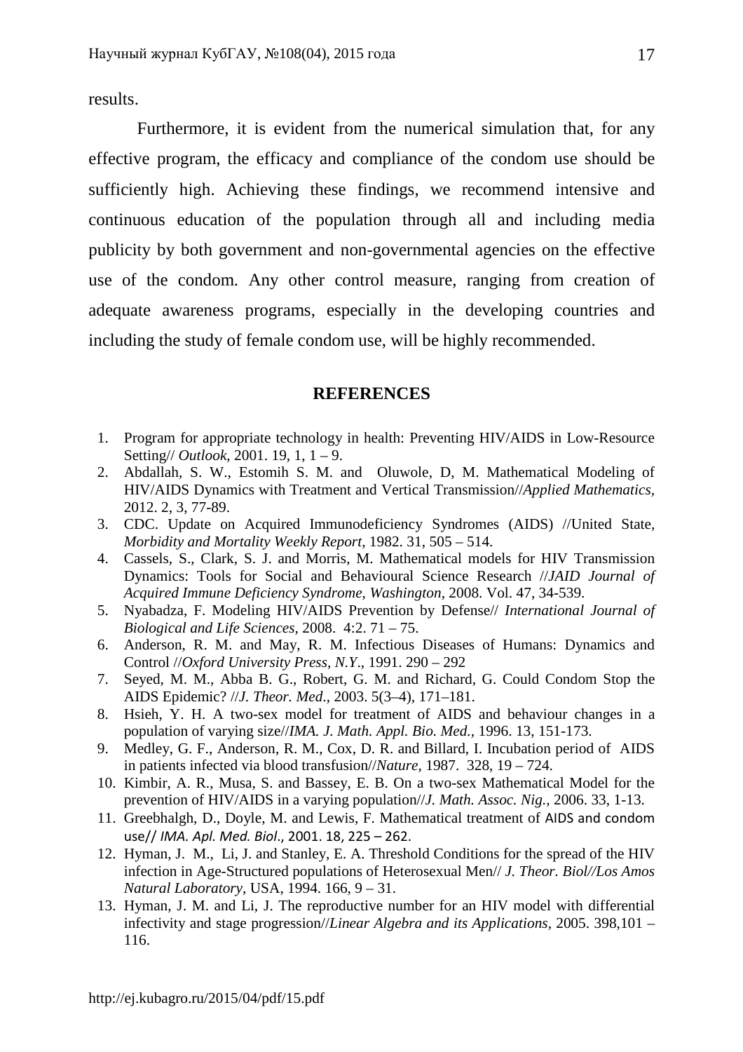results.

 Furthermore, it is evident from the numerical simulation that, for any effective program, the efficacy and compliance of the condom use should be sufficiently high. Achieving these findings, we recommend intensive and continuous education of the population through all and including media publicity by both government and non-governmental agencies on the effective use of the condom. Any other control measure, ranging from creation of adequate awareness programs, especially in the developing countries and including the study of female condom use, will be highly recommended.

## **REFERENCES**

- 1. Program for appropriate technology in health: Preventing HIV/AIDS in Low-Resource Setting// *Outlook*, 2001. 19, 1, 1 – 9.
- 2. Abdallah, S. W., Estomih S. M. and Oluwole, D, M. Mathematical Modeling of HIV/AIDS Dynamics with Treatment and Vertical Transmission//*Applied Mathematics,* 2012. 2, 3, 77-89.
- 3. CDC. Update on Acquired Immunodeficiency Syndromes (AIDS) //United State, *Morbidity and Mortality Weekly Report*, 1982. 31, 505 – 514.
- 4. Cassels, S., Clark, S. J. and Morris, M. Mathematical models for HIV Transmission Dynamics: Tools for Social and Behavioural Science Research //*JAID Journal of Acquired Immune Deficiency Syndrome*, *Washington*, 2008. Vol. 47, 34-539.
- 5. Nyabadza, F. Modeling HIV/AIDS Prevention by Defense// *International Journal of Biological and Life Sciences,* 2008. 4:2. 71 – 75.
- 6. Anderson, R. M. and May, R. M. Infectious Diseases of Humans: Dynamics and Control //*Oxford University Press, N.Y*., 1991. 290 – 292
- 7. Seyed, M. M., Abba B. G., Robert, G. M. and Richard, G. Could Condom Stop the AIDS Epidemic? //*J. Theor. Med*., 2003. 5(3–4), 171–181.
- 8. Hsieh, Y. H. A two-sex model for treatment of AIDS and behaviour changes in a population of varying size//*IMA. J. Math. Appl. Bio. Med.,* 1996. 13, 151-173.
- 9. Medley, G. F., Anderson, R. M., Cox, D. R. and Billard, I. Incubation period of AIDS in patients infected via blood transfusion//*Nature*, 1987. 328, 19 – 724.
- 10. Kimbir, A. R., Musa, S. and Bassey, E. B. On a two-sex Mathematical Model for the prevention of HIV/AIDS in a varying population//*J. Math. Assoc. Nig.,* 2006. 33, 1-13.
- 11. Greebhalgh, D., Doyle, M. and Lewis, F. Mathematical treatment of AIDS and condom use// *IMA. Apl. Med. Biol*., 2001. 18, 225 – 262.
- 12. Hyman, J. M., Li, J. and Stanley, E. A. Threshold Conditions for the spread of the HIV infection in Age-Structured populations of Heterosexual Men// *J. Theor. Biol//Los Amos Natural Laboratory*, USA, 1994. 166, 9 – 31.
- 13. Hyman, J. M. and Li, J. The reproductive number for an HIV model with differential infectivity and stage progression//*Linear Algebra and its Applications,* 2005. 398,101 – 116.